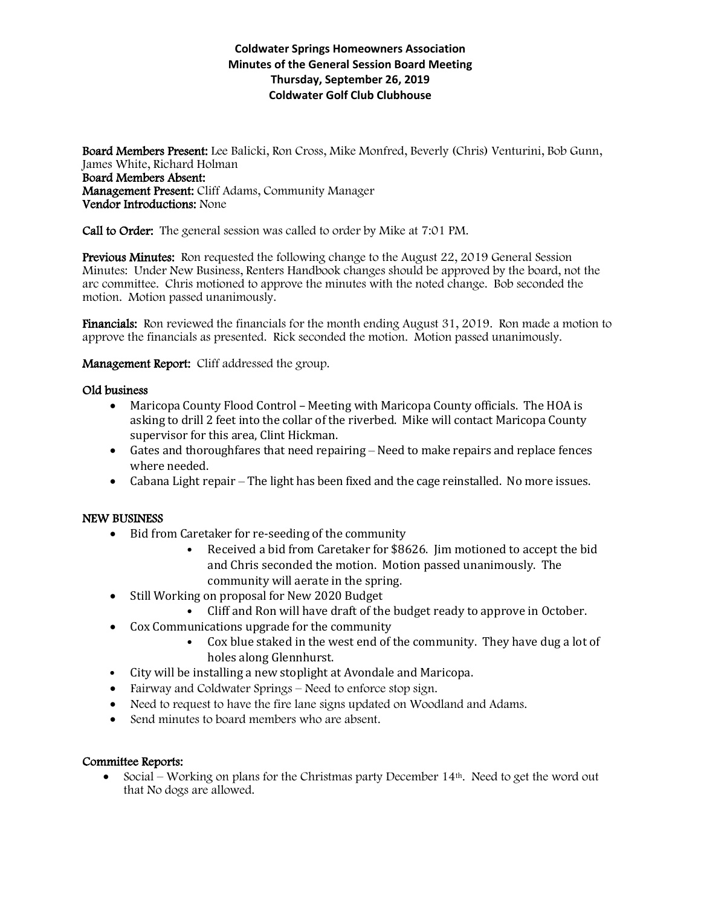## **Coldwater Springs Homeowners Association Minutes of the General Session Board Meeting Thursday, September 26, 2019 Coldwater Golf Club Clubhouse**

Board Members Present: Lee Balicki, Ron Cross, Mike Monfred, Beverly (Chris) Venturini, Bob Gunn, James White, Richard Holman Board Members Absent: Management Present: Cliff Adams, Community Manager Vendor Introductions: None

Call to Order: The general session was called to order by Mike at 7:01 PM.

Previous Minutes: Ron requested the following change to the August 22, 2019 General Session Minutes: Under New Business, Renters Handbook changes should be approved by the board, not the arc committee. Chris motioned to approve the minutes with the noted change. Bob seconded the motion. Motion passed unanimously.

Financials: Ron reviewed the financials for the month ending August 31, 2019. Ron made a motion to approve the financials as presented. Rick seconded the motion. Motion passed unanimously.

Management Report: Cliff addressed the group.

### Old business

- Maricopa County Flood Control Meeting with Maricopa County officials. The HOA is asking to drill 2 feet into the collar of the riverbed. Mike will contact Maricopa County supervisor for this area, Clint Hickman.
- Gates and thoroughfares that need repairing Need to make repairs and replace fences where needed.
- Cabana Light repair The light has been fixed and the cage reinstalled. No more issues.

#### NEW BUSINESS

- Bid from Caretaker for re-seeding of the community
	- Received a bid from Caretaker for \$8626. Jim motioned to accept the bid and Chris seconded the motion. Motion passed unanimously. The community will aerate in the spring.
- Still Working on proposal for New 2020 Budget
	- Cliff and Ron will have draft of the budget ready to approve in October.
- Cox Communications upgrade for the community
	- Cox blue staked in the west end of the community. They have dug a lot of holes along Glennhurst.
- City will be installing a new stoplight at Avondale and Maricopa.
- Fairway and Coldwater Springs Need to enforce stop sign.
- Need to request to have the fire lane signs updated on Woodland and Adams.
- Send minutes to board members who are absent.

#### Committee Reports:

 $\bullet$  Social – Working on plans for the Christmas party December 14<sup>th</sup>. Need to get the word out that No dogs are allowed.